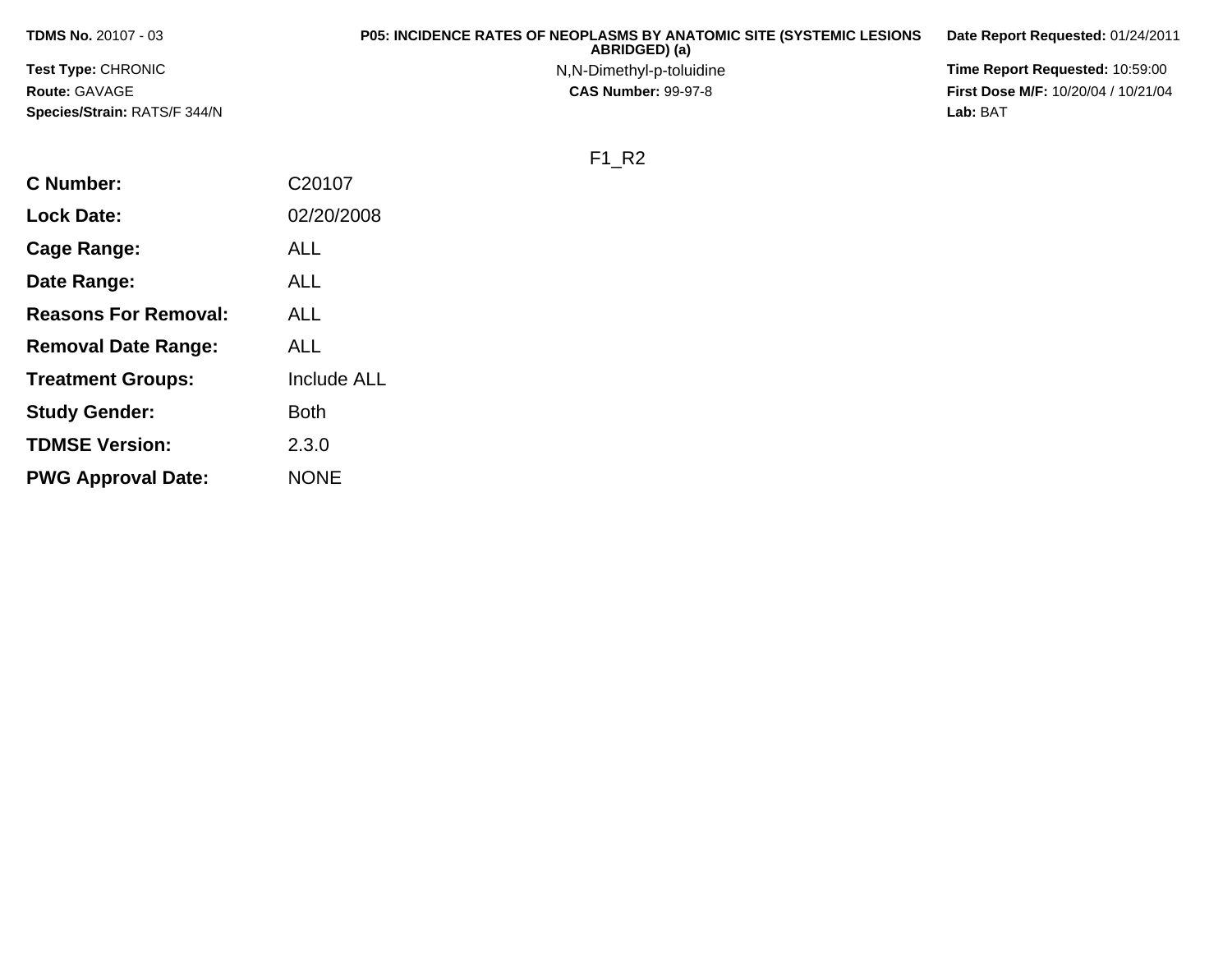|                                                                                                  | Date Report Requested: 01/24/2011 |
|--------------------------------------------------------------------------------------------------|-----------------------------------|
| Time Report Requested: 10:59:00<br><b>Test Type: CHRONIC</b><br>N,N-Dimethyl-p-toluidine         |                                   |
| <b>Route: GAVAGE</b><br><b>First Dose M/F: 10/20/04 / 10/21/04</b><br><b>CAS Number: 99-97-8</b> |                                   |
| Species/Strain: RATS/F 344/N<br>Lab: BAT                                                         |                                   |

## F1\_R2

| <b>C</b> Number:            | C20107             |
|-----------------------------|--------------------|
| <b>Lock Date:</b>           | 02/20/2008         |
| Cage Range:                 | ALL                |
| Date Range:                 | <b>ALL</b>         |
| <b>Reasons For Removal:</b> | ALL                |
| <b>Removal Date Range:</b>  | ALL                |
| <b>Treatment Groups:</b>    | <b>Include ALL</b> |
| <b>Study Gender:</b>        | <b>Both</b>        |
| <b>TDMSE Version:</b>       | 2.3.0              |
| <b>PWG Approval Date:</b>   | <b>NONE</b>        |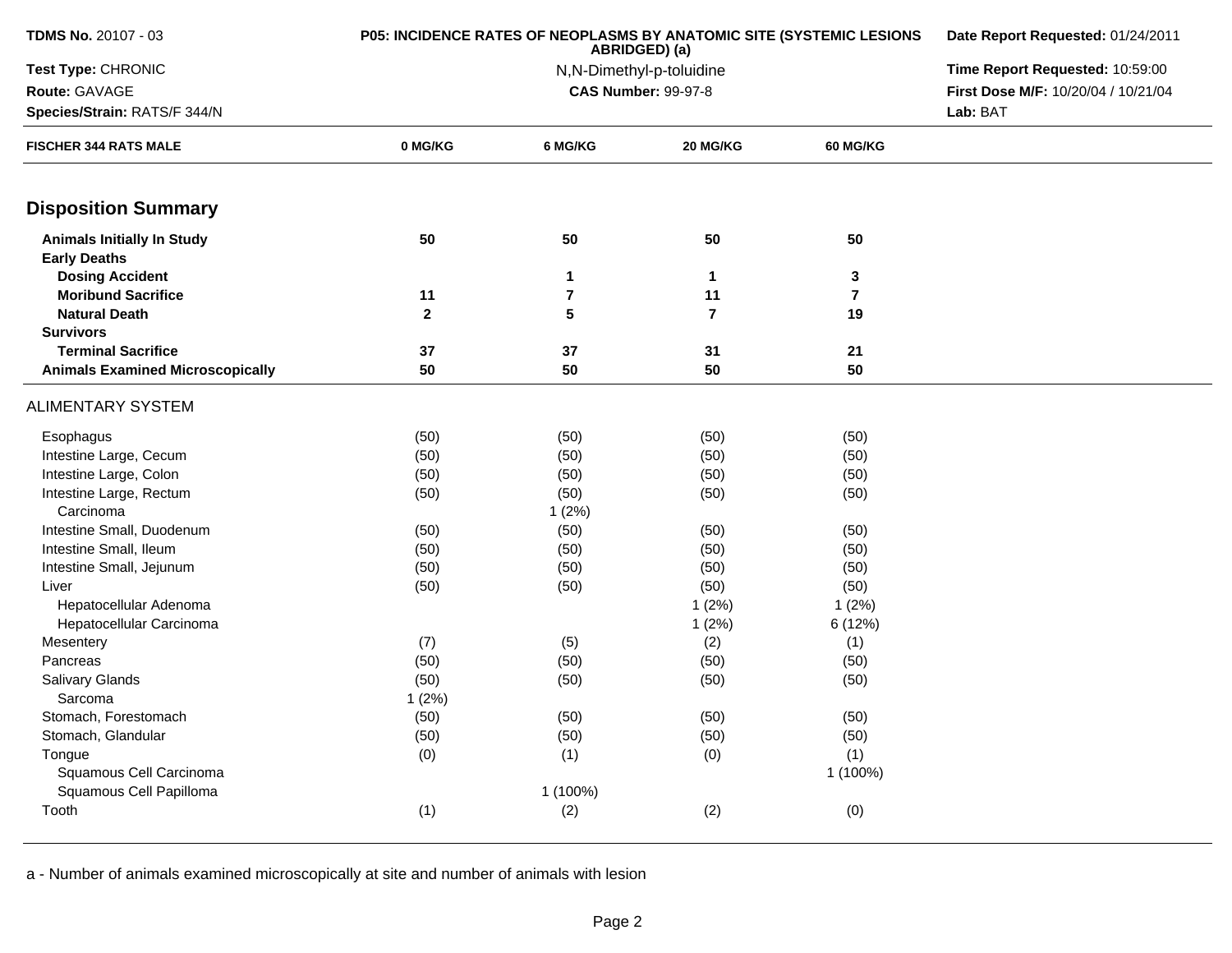| <b>TDMS No. 20107 - 03</b>                               | P05: INCIDENCE RATES OF NEOPLASMS BY ANATOMIC SITE (SYSTEMIC LESIONS | Date Report Requested: 01/24/2011 |                                 |                |                                     |  |  |
|----------------------------------------------------------|----------------------------------------------------------------------|-----------------------------------|---------------------------------|----------------|-------------------------------------|--|--|
| Test Type: CHRONIC                                       |                                                                      | N,N-Dimethyl-p-toluidine          | Time Report Requested: 10:59:00 |                |                                     |  |  |
| Route: GAVAGE                                            |                                                                      |                                   | <b>CAS Number: 99-97-8</b>      |                | First Dose M/F: 10/20/04 / 10/21/04 |  |  |
| Species/Strain: RATS/F 344/N                             |                                                                      |                                   |                                 |                |                                     |  |  |
| <b>FISCHER 344 RATS MALE</b>                             | 0 MG/KG                                                              | 6 MG/KG                           | 20 MG/KG                        | 60 MG/KG       |                                     |  |  |
| <b>Disposition Summary</b>                               |                                                                      |                                   |                                 |                |                                     |  |  |
| <b>Animals Initially In Study</b><br><b>Early Deaths</b> | 50                                                                   | 50                                | 50                              | 50             |                                     |  |  |
| <b>Dosing Accident</b>                                   |                                                                      | $\mathbf{1}$                      | $\mathbf 1$                     | 3              |                                     |  |  |
| <b>Moribund Sacrifice</b>                                | 11                                                                   | $\overline{\mathbf{r}}$           | 11                              | $\overline{7}$ |                                     |  |  |
| <b>Natural Death</b>                                     | $\mathbf{2}$                                                         | 5                                 | $\overline{7}$                  | 19             |                                     |  |  |
| <b>Survivors</b>                                         |                                                                      |                                   |                                 |                |                                     |  |  |
| <b>Terminal Sacrifice</b>                                | 37                                                                   | 37                                | 31                              | 21             |                                     |  |  |
| <b>Animals Examined Microscopically</b>                  | 50                                                                   | 50                                | 50                              | 50             |                                     |  |  |
| ALIMENTARY SYSTEM                                        |                                                                      |                                   |                                 |                |                                     |  |  |
| Esophagus                                                | (50)                                                                 | (50)                              | (50)                            | (50)           |                                     |  |  |
| Intestine Large, Cecum                                   | (50)                                                                 | (50)                              | (50)                            | (50)           |                                     |  |  |
| Intestine Large, Colon                                   | (50)                                                                 | (50)                              | (50)                            | (50)           |                                     |  |  |
| Intestine Large, Rectum                                  | (50)                                                                 | (50)                              | (50)                            | (50)           |                                     |  |  |
| Carcinoma                                                |                                                                      | 1(2%)                             |                                 |                |                                     |  |  |
| Intestine Small, Duodenum                                | (50)                                                                 | (50)                              | (50)                            | (50)           |                                     |  |  |
| Intestine Small, Ileum                                   | (50)                                                                 | (50)                              | (50)                            | (50)           |                                     |  |  |
| Intestine Small, Jejunum                                 | (50)                                                                 | (50)                              | (50)                            | (50)           |                                     |  |  |
| Liver                                                    | (50)                                                                 | (50)                              | (50)                            | (50)           |                                     |  |  |
| Hepatocellular Adenoma                                   |                                                                      |                                   | 1(2%)                           | 1(2%)          |                                     |  |  |
| Hepatocellular Carcinoma                                 |                                                                      |                                   | 1(2%)                           | 6 (12%)        |                                     |  |  |
| Mesentery                                                | (7)                                                                  | (5)                               | (2)                             | (1)            |                                     |  |  |
| Pancreas                                                 | (50)                                                                 | (50)                              | (50)                            | (50)           |                                     |  |  |
| Salivary Glands                                          | (50)                                                                 | (50)                              | (50)                            | (50)           |                                     |  |  |
| Sarcoma                                                  | 1(2%)                                                                |                                   |                                 |                |                                     |  |  |
| Stomach, Forestomach                                     | (50)                                                                 | (50)                              | (50)                            | (50)           |                                     |  |  |
| Stomach, Glandular                                       | (50)                                                                 | (50)                              | (50)                            | (50)           |                                     |  |  |
| Tongue                                                   | (0)                                                                  | (1)                               | (0)                             | (1)            |                                     |  |  |
| Squamous Cell Carcinoma                                  |                                                                      |                                   |                                 | 1 (100%)       |                                     |  |  |
| Squamous Cell Papilloma                                  |                                                                      | 1 (100%)                          |                                 |                |                                     |  |  |
| Tooth                                                    | (1)                                                                  | (2)                               | (2)                             | (0)            |                                     |  |  |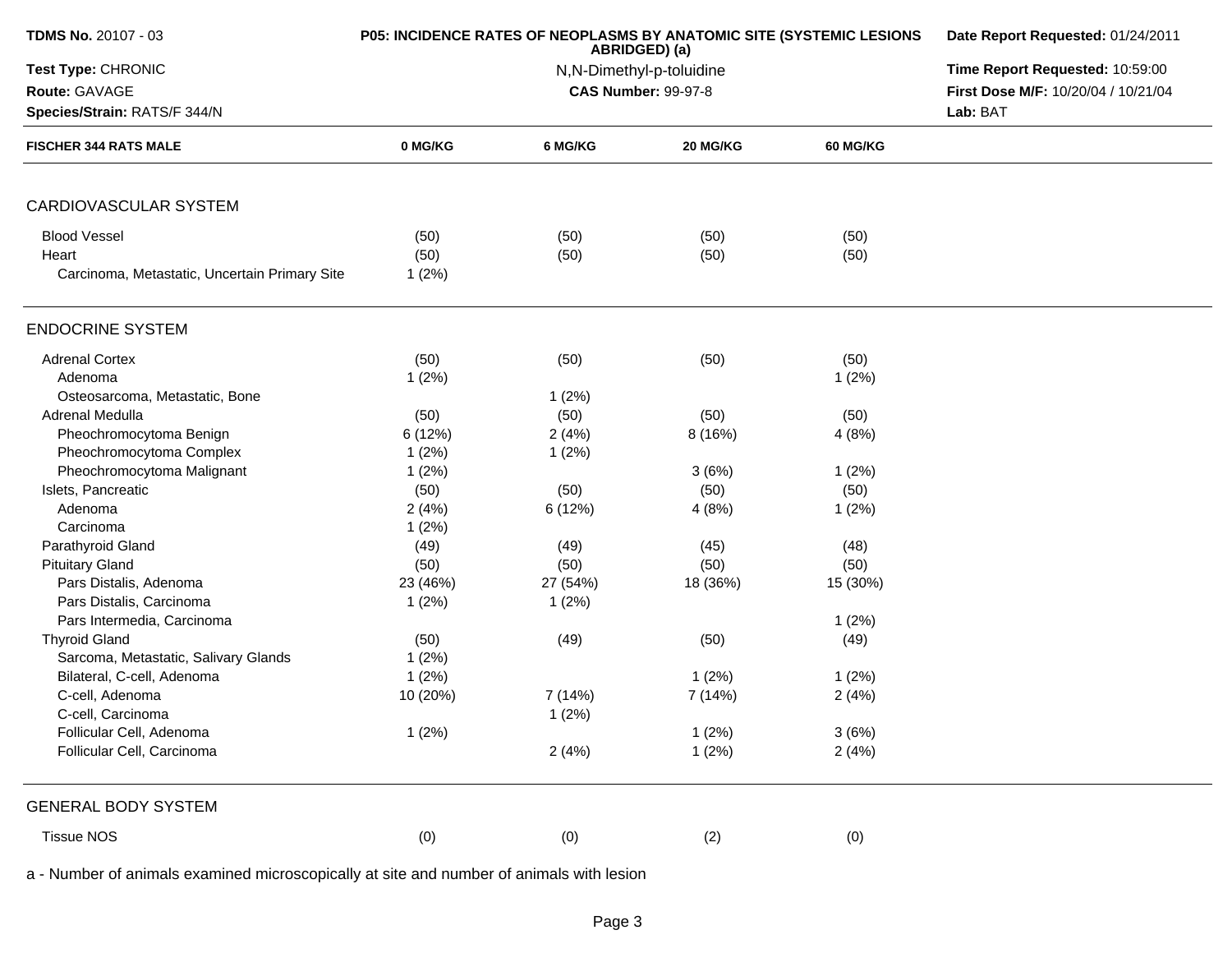| TDMS No. 20107 - 03                           | P05: INCIDENCE RATES OF NEOPLASMS BY ANATOMIC SITE (SYSTEMIC LESIONS | ABRIDGED) (a)              | Date Report Requested: 01/24/2011<br>Time Report Requested: 10:59:00 |                                     |          |
|-----------------------------------------------|----------------------------------------------------------------------|----------------------------|----------------------------------------------------------------------|-------------------------------------|----------|
| Test Type: CHRONIC                            |                                                                      | N,N-Dimethyl-p-toluidine   |                                                                      |                                     |          |
| Route: GAVAGE                                 |                                                                      | <b>CAS Number: 99-97-8</b> |                                                                      | First Dose M/F: 10/20/04 / 10/21/04 |          |
| Species/Strain: RATS/F 344/N                  |                                                                      |                            |                                                                      |                                     | Lab: BAT |
| <b>FISCHER 344 RATS MALE</b>                  | 0 MG/KG                                                              | 6 MG/KG                    | 20 MG/KG                                                             | <b>60 MG/KG</b>                     |          |
| CARDIOVASCULAR SYSTEM                         |                                                                      |                            |                                                                      |                                     |          |
| <b>Blood Vessel</b>                           | (50)                                                                 | (50)                       | (50)                                                                 | (50)                                |          |
| Heart                                         | (50)                                                                 | (50)                       | (50)                                                                 | (50)                                |          |
| Carcinoma, Metastatic, Uncertain Primary Site | 1(2%)                                                                |                            |                                                                      |                                     |          |
| <b>ENDOCRINE SYSTEM</b>                       |                                                                      |                            |                                                                      |                                     |          |
| <b>Adrenal Cortex</b>                         | (50)                                                                 | (50)                       | (50)                                                                 | (50)                                |          |
| Adenoma                                       | 1(2%)                                                                |                            |                                                                      | 1(2%)                               |          |
| Osteosarcoma, Metastatic, Bone                |                                                                      | 1(2%)                      |                                                                      |                                     |          |
| Adrenal Medulla                               | (50)                                                                 | (50)                       | (50)                                                                 | (50)                                |          |
| Pheochromocytoma Benign                       | 6(12%)                                                               | 2(4%)                      | 8(16%)                                                               | 4(8%)                               |          |
| Pheochromocytoma Complex                      | 1(2%)                                                                | 1(2%)                      |                                                                      |                                     |          |
| Pheochromocytoma Malignant                    | 1(2%)                                                                |                            | 3(6%)                                                                | 1(2%)                               |          |
| Islets, Pancreatic                            | (50)                                                                 | (50)                       | (50)                                                                 | (50)                                |          |
| Adenoma                                       | 2(4%)                                                                | 6 (12%)                    | 4(8%)                                                                | 1(2%)                               |          |
| Carcinoma                                     | 1(2%)                                                                |                            |                                                                      |                                     |          |
| Parathyroid Gland                             | (49)                                                                 | (49)                       | (45)                                                                 | (48)                                |          |
| <b>Pituitary Gland</b>                        | (50)                                                                 | (50)                       | (50)                                                                 | (50)                                |          |
| Pars Distalis, Adenoma                        | 23 (46%)                                                             | 27 (54%)                   | 18 (36%)                                                             | 15 (30%)                            |          |
| Pars Distalis, Carcinoma                      | 1(2%)                                                                | 1(2%)                      |                                                                      |                                     |          |
| Pars Intermedia, Carcinoma                    |                                                                      |                            |                                                                      | 1(2%)                               |          |
| <b>Thyroid Gland</b>                          | (50)                                                                 | (49)                       | (50)                                                                 | (49)                                |          |
| Sarcoma, Metastatic, Salivary Glands          | 1(2%)                                                                |                            |                                                                      |                                     |          |
| Bilateral, C-cell, Adenoma                    | 1(2%)                                                                |                            | 1(2%)                                                                | 1(2%)                               |          |
| C-cell, Adenoma                               | 10 (20%)                                                             | 7(14%)                     | 7 (14%)                                                              | 2(4%)                               |          |
| C-cell, Carcinoma                             |                                                                      | 1(2%)                      |                                                                      |                                     |          |
| Follicular Cell, Adenoma                      | 1(2%)                                                                |                            | 1(2%)                                                                | 3(6%)                               |          |
| Follicular Cell, Carcinoma                    |                                                                      | 2(4%)                      | 1(2%)                                                                | 2(4%)                               |          |
| <b>GENERAL BODY SYSTEM</b>                    |                                                                      |                            |                                                                      |                                     |          |
| <b>Tissue NOS</b>                             | (0)                                                                  | (0)                        | (2)                                                                  | (0)                                 |          |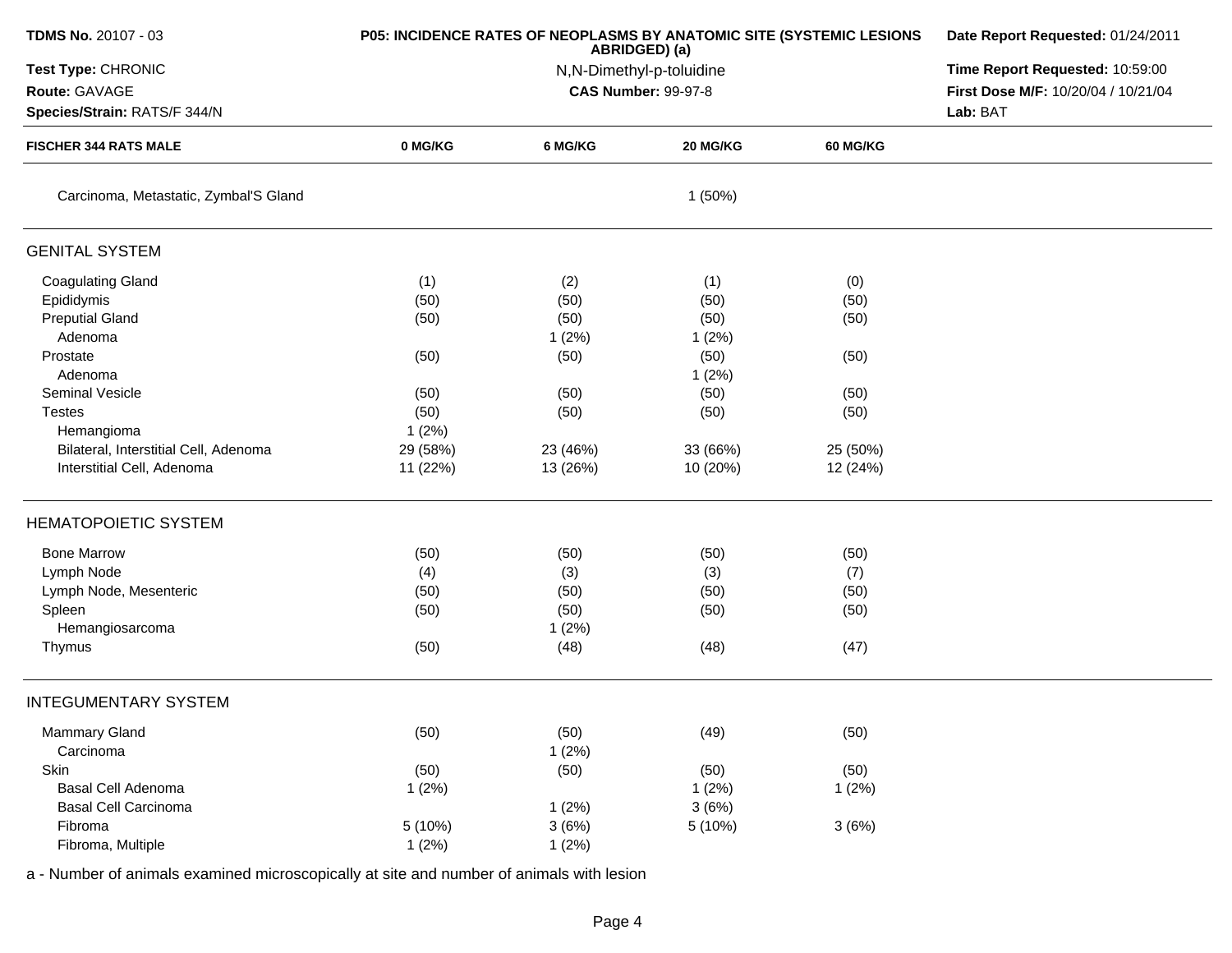| <b>TDMS No. 20107 - 03</b>            | P05: INCIDENCE RATES OF NEOPLASMS BY ANATOMIC SITE (SYSTEMIC LESIONS | Date Report Requested: 01/24/2011 |                            |          |                                     |
|---------------------------------------|----------------------------------------------------------------------|-----------------------------------|----------------------------|----------|-------------------------------------|
| Test Type: CHRONIC                    |                                                                      | Time Report Requested: 10:59:00   |                            |          |                                     |
| Route: GAVAGE                         |                                                                      |                                   | <b>CAS Number: 99-97-8</b> |          | First Dose M/F: 10/20/04 / 10/21/04 |
| Species/Strain: RATS/F 344/N          |                                                                      |                                   |                            |          | Lab: BAT                            |
| <b>FISCHER 344 RATS MALE</b>          | 0 MG/KG                                                              | 6 MG/KG                           | <b>20 MG/KG</b>            | 60 MG/KG |                                     |
| Carcinoma, Metastatic, Zymbal'S Gland |                                                                      |                                   | 1(50%)                     |          |                                     |
| <b>GENITAL SYSTEM</b>                 |                                                                      |                                   |                            |          |                                     |
| <b>Coagulating Gland</b>              | (1)                                                                  | (2)                               | (1)                        | (0)      |                                     |
| Epididymis                            | (50)                                                                 | (50)                              | (50)                       | (50)     |                                     |
| <b>Preputial Gland</b>                | (50)                                                                 | (50)                              | (50)                       | (50)     |                                     |
| Adenoma                               |                                                                      | 1(2%)                             | 1(2%)                      |          |                                     |
| Prostate                              | (50)                                                                 | (50)                              | (50)                       | (50)     |                                     |
| Adenoma                               |                                                                      |                                   | 1(2%)                      |          |                                     |
| Seminal Vesicle                       | (50)                                                                 | (50)                              | (50)                       | (50)     |                                     |
| <b>Testes</b>                         | (50)                                                                 | (50)                              | (50)                       | (50)     |                                     |
| Hemangioma                            | 1(2%)                                                                |                                   |                            |          |                                     |
| Bilateral, Interstitial Cell, Adenoma | 29 (58%)                                                             | 23 (46%)                          | 33 (66%)                   | 25 (50%) |                                     |
| Interstitial Cell, Adenoma            | 11 (22%)                                                             | 13 (26%)                          | 10 (20%)                   | 12 (24%) |                                     |
| <b>HEMATOPOIETIC SYSTEM</b>           |                                                                      |                                   |                            |          |                                     |
| <b>Bone Marrow</b>                    | (50)                                                                 | (50)                              | (50)                       | (50)     |                                     |
| Lymph Node                            | (4)                                                                  | (3)                               | (3)                        | (7)      |                                     |
| Lymph Node, Mesenteric                | (50)                                                                 | (50)                              | (50)                       | (50)     |                                     |
| Spleen                                | (50)                                                                 | (50)                              | (50)                       | (50)     |                                     |
| Hemangiosarcoma                       |                                                                      | 1(2%)                             |                            |          |                                     |
| Thymus                                | (50)                                                                 | (48)                              | (48)                       | (47)     |                                     |
| <b>INTEGUMENTARY SYSTEM</b>           |                                                                      |                                   |                            |          |                                     |
| Mammary Gland                         | (50)                                                                 | (50)                              | (49)                       | (50)     |                                     |
| Carcinoma                             |                                                                      | 1(2%)                             |                            |          |                                     |
| Skin                                  | (50)                                                                 | (50)                              | (50)                       | (50)     |                                     |
| Basal Cell Adenoma                    | 1(2%)                                                                |                                   | 1(2%)                      | 1(2%)    |                                     |
| <b>Basal Cell Carcinoma</b>           |                                                                      | 1(2%)                             | 3(6%)                      |          |                                     |
| Fibroma                               | 5(10%)                                                               | 3(6%)                             | 5 (10%)                    | 3(6%)    |                                     |
| Fibroma, Multiple                     | 1(2%)                                                                | 1(2%)                             |                            |          |                                     |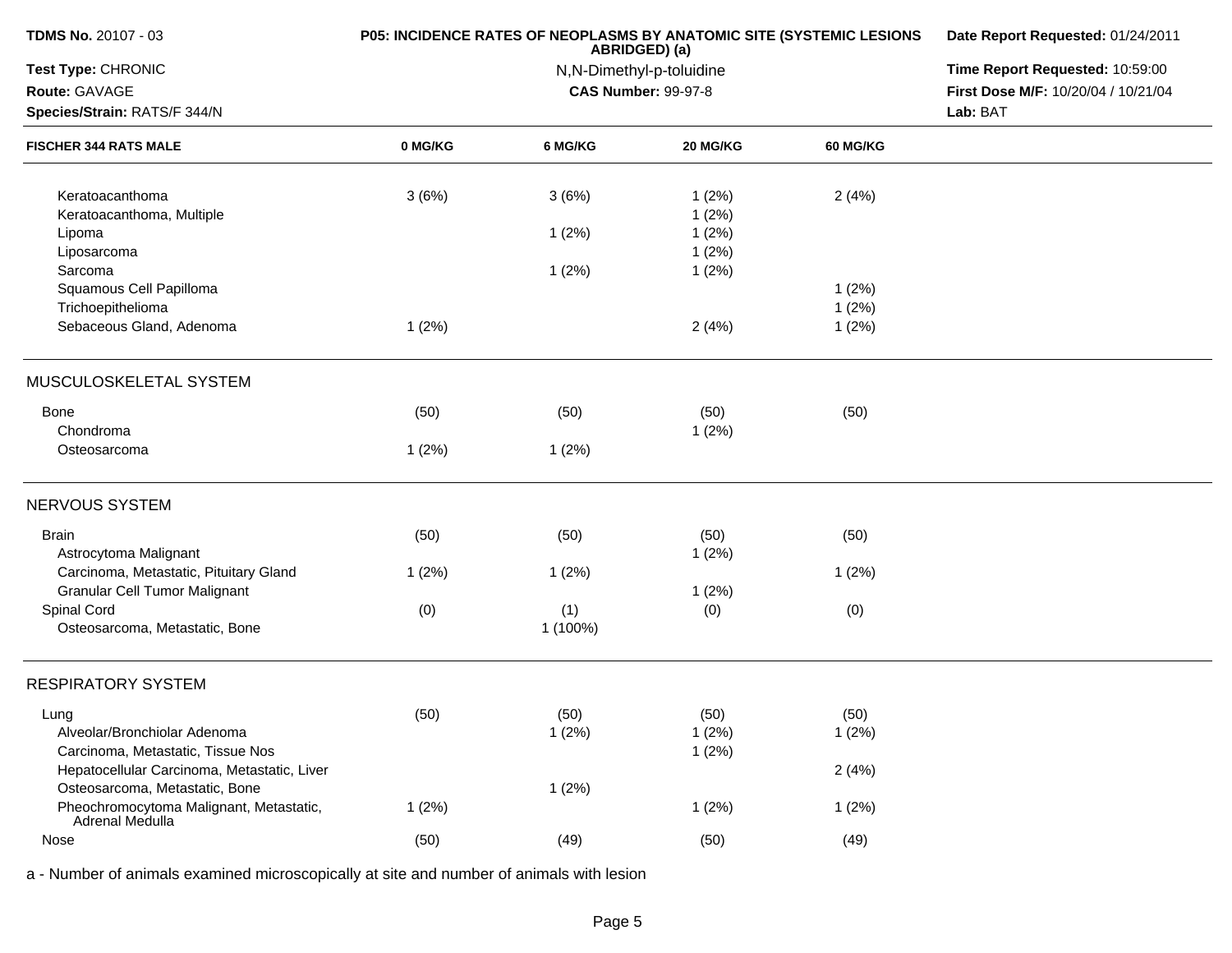| <b>TDMS No. 20107 - 03</b>                                 | P05: INCIDENCE RATES OF NEOPLASMS BY ANATOMIC SITE (SYSTEMIC LESIONS | Date Report Requested: 01/24/2011         |                                 |                 |                                     |
|------------------------------------------------------------|----------------------------------------------------------------------|-------------------------------------------|---------------------------------|-----------------|-------------------------------------|
| Test Type: CHRONIC                                         |                                                                      | ABRIDGED) (a)<br>N,N-Dimethyl-p-toluidine | Time Report Requested: 10:59:00 |                 |                                     |
| Route: GAVAGE                                              |                                                                      |                                           | <b>CAS Number: 99-97-8</b>      |                 | First Dose M/F: 10/20/04 / 10/21/04 |
| Species/Strain: RATS/F 344/N                               |                                                                      |                                           |                                 |                 | Lab: BAT                            |
| <b>FISCHER 344 RATS MALE</b>                               | 0 MG/KG                                                              | 6 MG/KG                                   | 20 MG/KG                        | <b>60 MG/KG</b> |                                     |
| Keratoacanthoma                                            | 3(6%)                                                                | 3(6%)                                     | 1(2%)                           | 2(4%)           |                                     |
| Keratoacanthoma, Multiple                                  |                                                                      |                                           | 1(2%)                           |                 |                                     |
| Lipoma                                                     |                                                                      | 1(2%)                                     | 1(2%)                           |                 |                                     |
| Liposarcoma                                                |                                                                      |                                           | 1(2%)                           |                 |                                     |
| Sarcoma                                                    |                                                                      | 1(2%)                                     | 1(2%)                           |                 |                                     |
| Squamous Cell Papilloma                                    |                                                                      |                                           |                                 | 1(2%)           |                                     |
| Trichoepithelioma                                          |                                                                      |                                           |                                 | 1(2%)           |                                     |
| Sebaceous Gland, Adenoma                                   | 1(2%)                                                                |                                           | 2(4%)                           | 1(2%)           |                                     |
| MUSCULOSKELETAL SYSTEM                                     |                                                                      |                                           |                                 |                 |                                     |
| <b>Bone</b>                                                | (50)                                                                 | (50)                                      | (50)                            | (50)            |                                     |
| Chondroma                                                  |                                                                      |                                           | 1(2%)                           |                 |                                     |
| Osteosarcoma                                               | 1(2%)                                                                | 1(2%)                                     |                                 |                 |                                     |
| NERVOUS SYSTEM                                             |                                                                      |                                           |                                 |                 |                                     |
| <b>Brain</b>                                               | (50)                                                                 | (50)                                      | (50)                            | (50)            |                                     |
| Astrocytoma Malignant                                      |                                                                      |                                           | 1(2%)                           |                 |                                     |
| Carcinoma, Metastatic, Pituitary Gland                     | 1(2%)                                                                | 1(2%)                                     |                                 | 1(2%)           |                                     |
| <b>Granular Cell Tumor Malignant</b>                       |                                                                      |                                           | 1(2%)                           |                 |                                     |
| Spinal Cord                                                | (0)                                                                  | (1)                                       | (0)                             | (0)             |                                     |
| Osteosarcoma, Metastatic, Bone                             |                                                                      | 1 (100%)                                  |                                 |                 |                                     |
| <b>RESPIRATORY SYSTEM</b>                                  |                                                                      |                                           |                                 |                 |                                     |
| Lung                                                       | (50)                                                                 | (50)                                      | (50)                            | (50)            |                                     |
| Alveolar/Bronchiolar Adenoma                               |                                                                      | 1(2%)                                     | 1(2%)                           | 1(2%)           |                                     |
| Carcinoma, Metastatic, Tissue Nos                          |                                                                      |                                           | 1(2%)                           |                 |                                     |
| Hepatocellular Carcinoma, Metastatic, Liver                |                                                                      |                                           |                                 | 2(4%)           |                                     |
| Osteosarcoma, Metastatic, Bone                             |                                                                      | 1(2%)                                     |                                 |                 |                                     |
| Pheochromocytoma Malignant, Metastatic,<br>Adrenal Medulla | 1(2%)                                                                |                                           | 1(2%)                           | 1(2%)           |                                     |
| Nose                                                       | (50)                                                                 | (49)                                      | (50)                            | (49)            |                                     |
|                                                            |                                                                      |                                           |                                 |                 |                                     |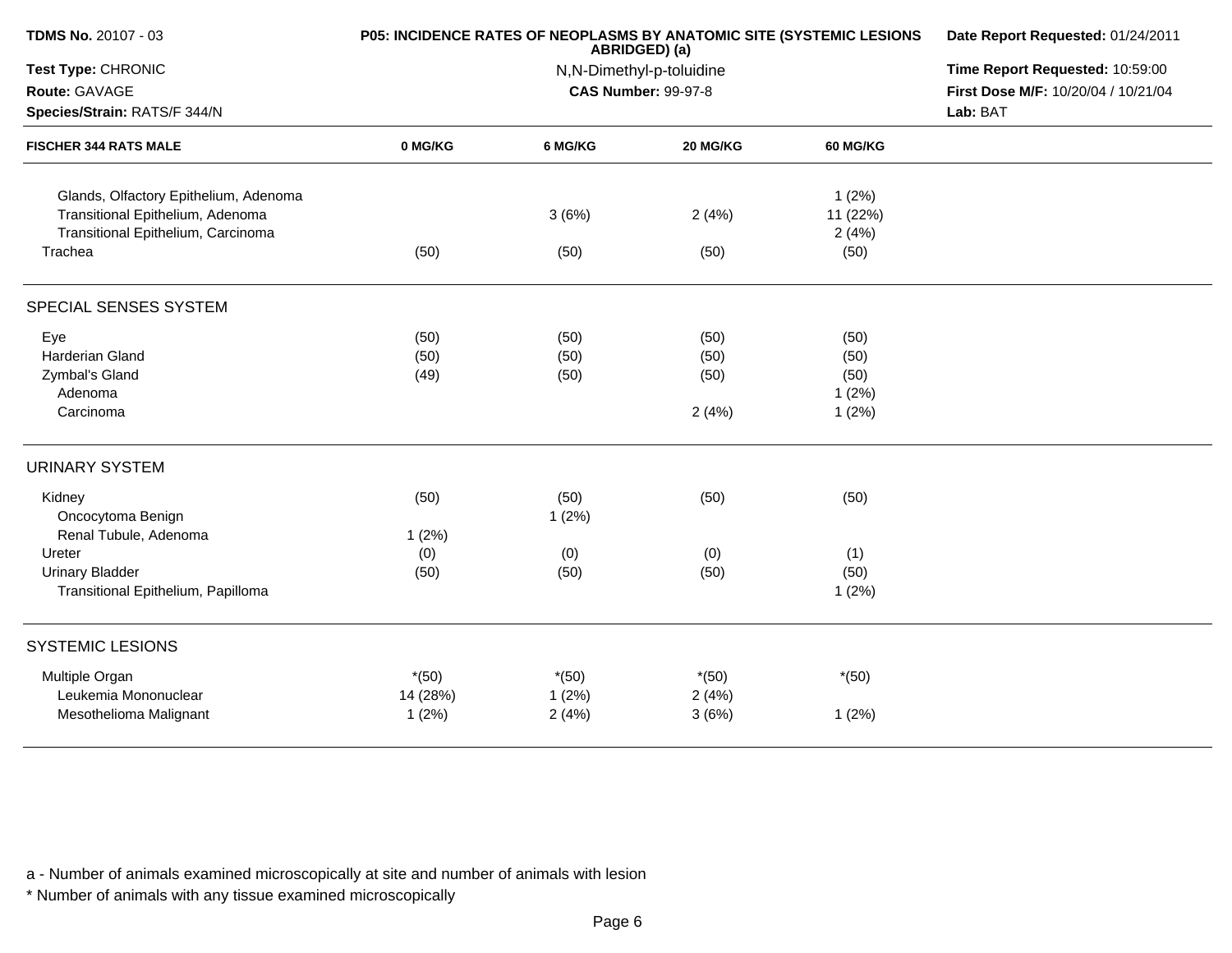| <b>TDMS No. 20107 - 03</b>                                             | P05: INCIDENCE RATES OF NEOPLASMS BY ANATOMIC SITE (SYSTEMIC LESIONS | Date Report Requested: 01/24/2011 |                                 |                   |                                     |
|------------------------------------------------------------------------|----------------------------------------------------------------------|-----------------------------------|---------------------------------|-------------------|-------------------------------------|
| Test Type: CHRONIC                                                     |                                                                      | N,N-Dimethyl-p-toluidine          | Time Report Requested: 10:59:00 |                   |                                     |
| Route: GAVAGE                                                          |                                                                      |                                   | <b>CAS Number: 99-97-8</b>      |                   | First Dose M/F: 10/20/04 / 10/21/04 |
| Species/Strain: RATS/F 344/N                                           |                                                                      |                                   |                                 |                   | Lab: BAT                            |
| <b>FISCHER 344 RATS MALE</b>                                           | 0 MG/KG                                                              | 6 MG/KG                           | 20 MG/KG                        | 60 MG/KG          |                                     |
| Glands, Olfactory Epithelium, Adenoma                                  |                                                                      |                                   |                                 | 1(2%)             |                                     |
| Transitional Epithelium, Adenoma<br>Transitional Epithelium, Carcinoma |                                                                      | 3(6%)                             | 2(4%)                           | 11 (22%)<br>2(4%) |                                     |
| Trachea                                                                | (50)                                                                 | (50)                              | (50)                            | (50)              |                                     |
| SPECIAL SENSES SYSTEM                                                  |                                                                      |                                   |                                 |                   |                                     |
| Eye                                                                    | (50)                                                                 | (50)                              | (50)                            | (50)              |                                     |
| <b>Harderian Gland</b>                                                 | (50)                                                                 | (50)                              | (50)                            | (50)              |                                     |
| Zymbal's Gland                                                         | (49)                                                                 | (50)                              | (50)                            | (50)              |                                     |
| Adenoma                                                                |                                                                      |                                   |                                 | 1(2%)             |                                     |
| Carcinoma                                                              |                                                                      |                                   | 2(4%)                           | 1(2%)             |                                     |
| <b>URINARY SYSTEM</b>                                                  |                                                                      |                                   |                                 |                   |                                     |
| Kidney                                                                 | (50)                                                                 | (50)                              | (50)                            | (50)              |                                     |
| Oncocytoma Benign                                                      |                                                                      | 1(2%)                             |                                 |                   |                                     |
| Renal Tubule, Adenoma                                                  | 1(2%)                                                                |                                   |                                 |                   |                                     |
| Ureter                                                                 | (0)                                                                  | (0)                               | (0)                             | (1)               |                                     |
| <b>Urinary Bladder</b>                                                 | (50)                                                                 | (50)                              | (50)                            | (50)              |                                     |
| Transitional Epithelium, Papilloma                                     |                                                                      |                                   |                                 | 1(2%)             |                                     |
| <b>SYSTEMIC LESIONS</b>                                                |                                                                      |                                   |                                 |                   |                                     |
| Multiple Organ                                                         | $*(50)$                                                              | $*(50)$                           | $*(50)$                         | $*(50)$           |                                     |
| Leukemia Mononuclear                                                   | 14 (28%)                                                             | 1(2%)                             | 2(4%)                           |                   |                                     |
| Mesothelioma Malignant                                                 | 1(2%)                                                                | 2(4%)                             | 3(6%)                           | 1(2%)             |                                     |
|                                                                        |                                                                      |                                   |                                 |                   |                                     |

\* Number of animals with any tissue examined microscopically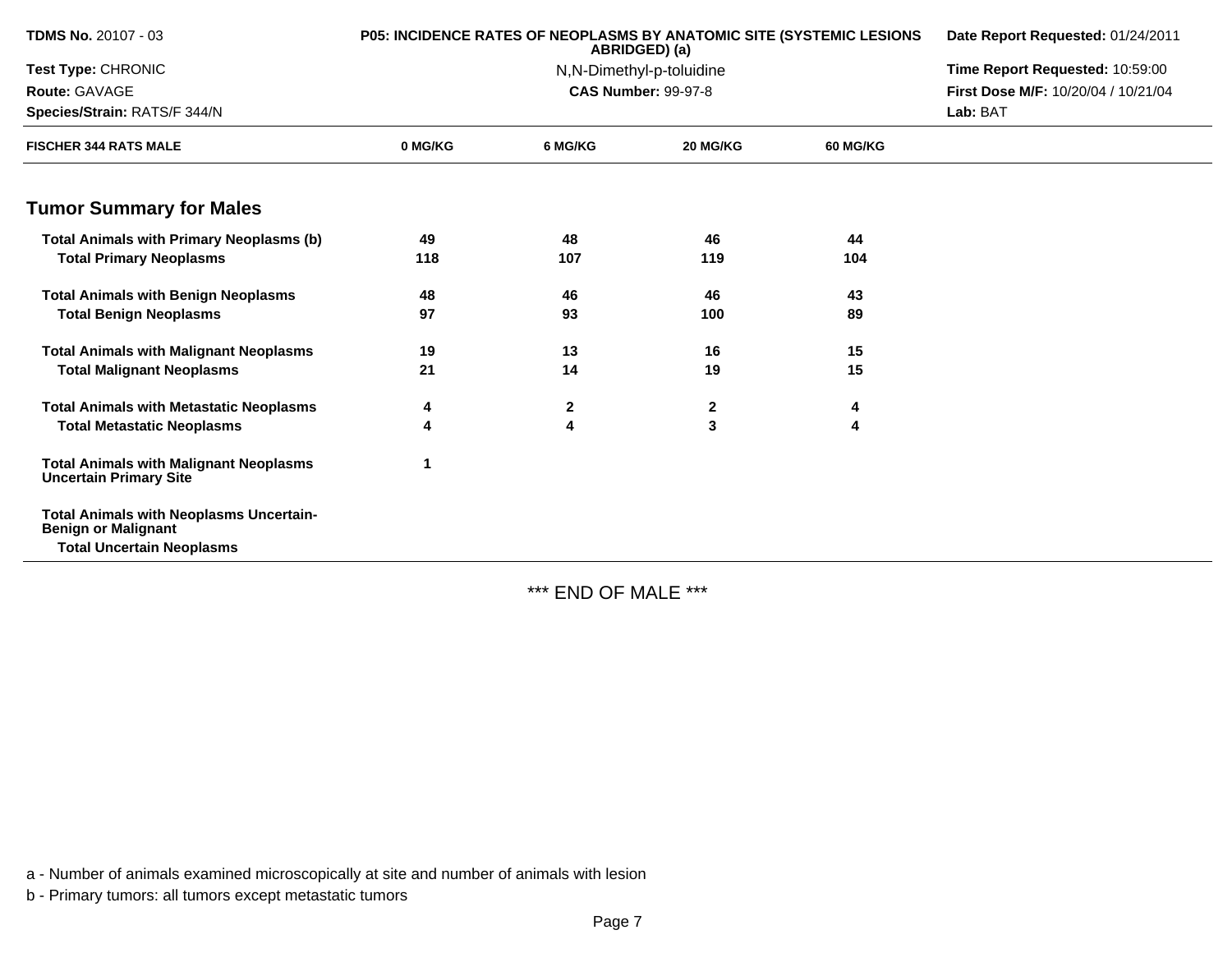| <b>TDMS No. 20107 - 03</b>                                                     | <b>P05: INCIDENCE RATES OF NEOPLASMS BY ANATOMIC SITE (SYSTEMIC LESIONS</b> | ABRIDGED) (a)            | Date Report Requested: 01/24/2011 |                 |                                     |
|--------------------------------------------------------------------------------|-----------------------------------------------------------------------------|--------------------------|-----------------------------------|-----------------|-------------------------------------|
| Test Type: CHRONIC                                                             |                                                                             | N,N-Dimethyl-p-toluidine | Time Report Requested: 10:59:00   |                 |                                     |
| Route: GAVAGE                                                                  |                                                                             |                          | <b>CAS Number: 99-97-8</b>        |                 | First Dose M/F: 10/20/04 / 10/21/04 |
| Species/Strain: RATS/F 344/N                                                   |                                                                             |                          |                                   | Lab: BAT        |                                     |
| <b>FISCHER 344 RATS MALE</b>                                                   | 0 MG/KG                                                                     | 6 MG/KG                  | 20 MG/KG                          | <b>60 MG/KG</b> |                                     |
| <b>Tumor Summary for Males</b>                                                 |                                                                             |                          |                                   |                 |                                     |
| <b>Total Animals with Primary Neoplasms (b)</b>                                | 49                                                                          | 48                       | 46                                | 44              |                                     |
| <b>Total Primary Neoplasms</b>                                                 | 118                                                                         | 107                      | 119                               | 104             |                                     |
| <b>Total Animals with Benign Neoplasms</b>                                     | 48                                                                          | 46                       | 46                                | 43              |                                     |
| <b>Total Benign Neoplasms</b>                                                  | 97                                                                          | 93                       | 100                               | 89              |                                     |
| <b>Total Animals with Malignant Neoplasms</b>                                  | 19                                                                          | 13                       | 16                                | 15              |                                     |
| <b>Total Malignant Neoplasms</b>                                               | 21                                                                          | 14                       | 19                                | 15              |                                     |
| <b>Total Animals with Metastatic Neoplasms</b>                                 | 4                                                                           | $\mathbf{2}$             | $\mathbf{2}$                      | 4               |                                     |
| <b>Total Metastatic Neoplasms</b>                                              | Δ                                                                           | 4                        | 3                                 | 4               |                                     |
| <b>Total Animals with Malignant Neoplasms</b><br><b>Uncertain Primary Site</b> |                                                                             |                          |                                   |                 |                                     |
| <b>Total Animals with Neoplasms Uncertain-</b><br><b>Benign or Malignant</b>   |                                                                             |                          |                                   |                 |                                     |
| <b>Total Uncertain Neoplasms</b>                                               |                                                                             |                          |                                   |                 |                                     |

\*\*\* END OF MALE \*\*\*

a - Number of animals examined microscopically at site and number of animals with lesion

b - Primary tumors: all tumors except metastatic tumors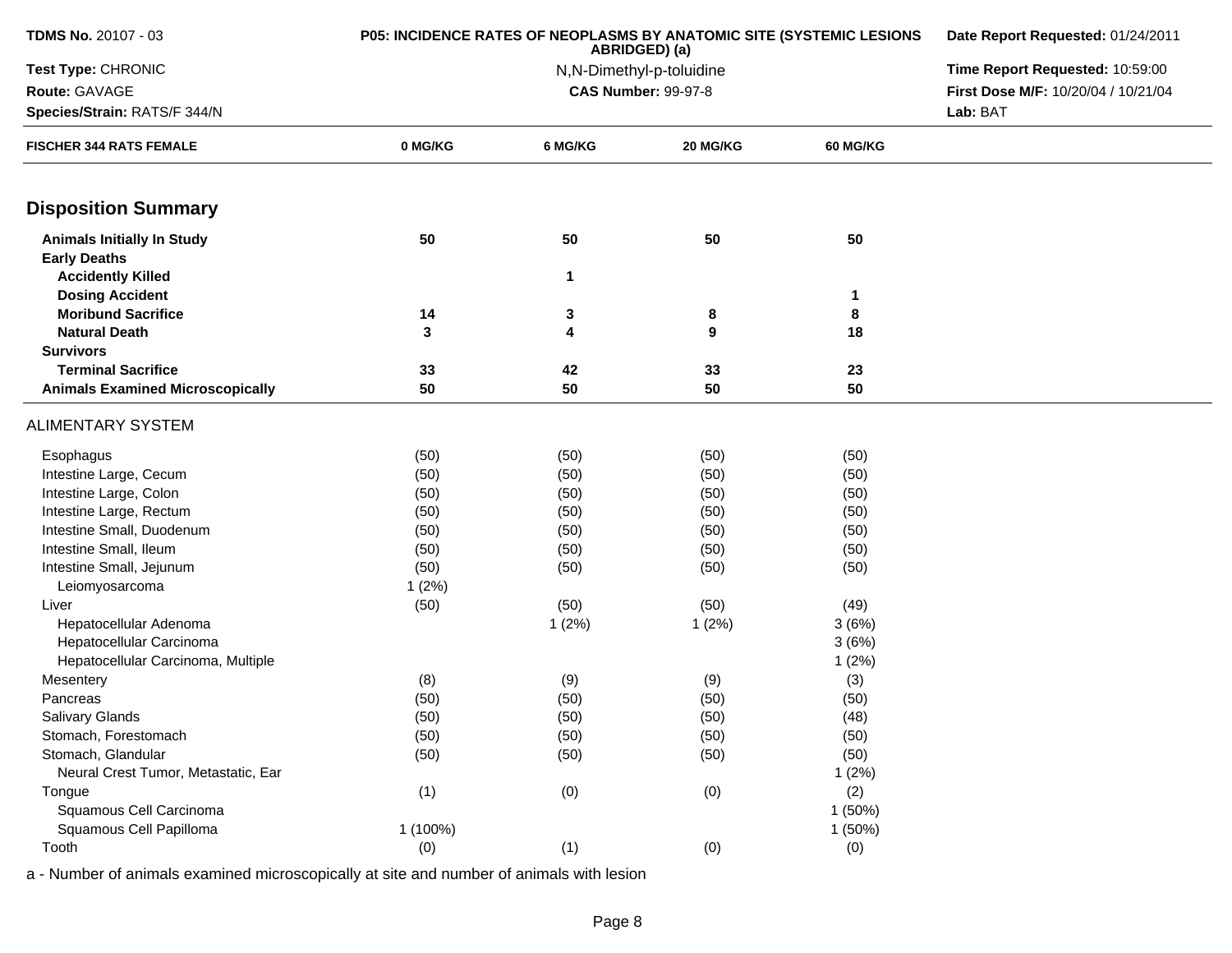| TDMS No. 20107 - 03                                      | P05: INCIDENCE RATES OF NEOPLASMS BY ANATOMIC SITE (SYSTEMIC LESIONS | Date Report Requested: 01/24/2011 |                            |                 |                                     |
|----------------------------------------------------------|----------------------------------------------------------------------|-----------------------------------|----------------------------|-----------------|-------------------------------------|
| Test Type: CHRONIC                                       |                                                                      | Time Report Requested: 10:59:00   |                            |                 |                                     |
| Route: GAVAGE                                            |                                                                      |                                   | <b>CAS Number: 99-97-8</b> |                 | First Dose M/F: 10/20/04 / 10/21/04 |
| Species/Strain: RATS/F 344/N                             |                                                                      |                                   |                            |                 | Lab: BAT                            |
| <b>FISCHER 344 RATS FEMALE</b>                           | 0 MG/KG                                                              | 6 MG/KG                           | 20 MG/KG                   | <b>60 MG/KG</b> |                                     |
| <b>Disposition Summary</b>                               |                                                                      |                                   |                            |                 |                                     |
| <b>Animals Initially In Study</b><br><b>Early Deaths</b> | 50                                                                   | 50                                | 50                         | 50              |                                     |
| <b>Accidently Killed</b>                                 |                                                                      | $\mathbf{1}$                      |                            |                 |                                     |
| <b>Dosing Accident</b>                                   |                                                                      |                                   |                            | 1               |                                     |
| <b>Moribund Sacrifice</b>                                | 14                                                                   | 3                                 | 8                          | 8               |                                     |
| <b>Natural Death</b>                                     | 3                                                                    | 4                                 | 9                          | 18              |                                     |
| <b>Survivors</b>                                         |                                                                      |                                   |                            |                 |                                     |
| <b>Terminal Sacrifice</b>                                | 33                                                                   | 42                                | 33                         | 23              |                                     |
| <b>Animals Examined Microscopically</b>                  | 50                                                                   | 50                                | 50                         | 50              |                                     |
| <b>ALIMENTARY SYSTEM</b>                                 |                                                                      |                                   |                            |                 |                                     |
| Esophagus                                                | (50)                                                                 | (50)                              | (50)                       | (50)            |                                     |
| Intestine Large, Cecum                                   | (50)                                                                 | (50)                              | (50)                       | (50)            |                                     |
| Intestine Large, Colon                                   | (50)                                                                 | (50)                              | (50)                       | (50)            |                                     |
| Intestine Large, Rectum                                  | (50)                                                                 | (50)                              | (50)                       | (50)            |                                     |
| Intestine Small, Duodenum                                | (50)                                                                 | (50)                              | (50)                       | (50)            |                                     |
| Intestine Small, Ileum                                   | (50)                                                                 | (50)                              | (50)                       | (50)            |                                     |
| Intestine Small, Jejunum                                 | (50)                                                                 | (50)                              | (50)                       | (50)            |                                     |
| Leiomyosarcoma                                           | 1(2%)                                                                |                                   |                            |                 |                                     |
| Liver                                                    | (50)                                                                 | (50)                              | (50)                       | (49)            |                                     |
| Hepatocellular Adenoma                                   |                                                                      | 1(2%)                             | 1(2%)                      | 3(6%)           |                                     |
| Hepatocellular Carcinoma                                 |                                                                      |                                   |                            | 3(6%)           |                                     |
| Hepatocellular Carcinoma, Multiple                       |                                                                      |                                   |                            | 1(2%)           |                                     |
| Mesentery<br>Pancreas                                    | (8)                                                                  | (9)                               | (9)                        | (3)             |                                     |
| Salivary Glands                                          | (50)<br>(50)                                                         | (50)<br>(50)                      | (50)<br>(50)               | (50)<br>(48)    |                                     |
| Stomach, Forestomach                                     | (50)                                                                 | (50)                              | (50)                       | (50)            |                                     |
| Stomach, Glandular                                       | (50)                                                                 | (50)                              | (50)                       | (50)            |                                     |
| Neural Crest Tumor, Metastatic, Ear                      |                                                                      |                                   |                            | 1(2%)           |                                     |
| Tongue                                                   | (1)                                                                  | (0)                               | (0)                        | (2)             |                                     |
| Squamous Cell Carcinoma                                  |                                                                      |                                   |                            | 1(50%)          |                                     |
| Squamous Cell Papilloma                                  | 1 (100%)                                                             |                                   |                            | 1(50%)          |                                     |
|                                                          |                                                                      |                                   |                            |                 |                                     |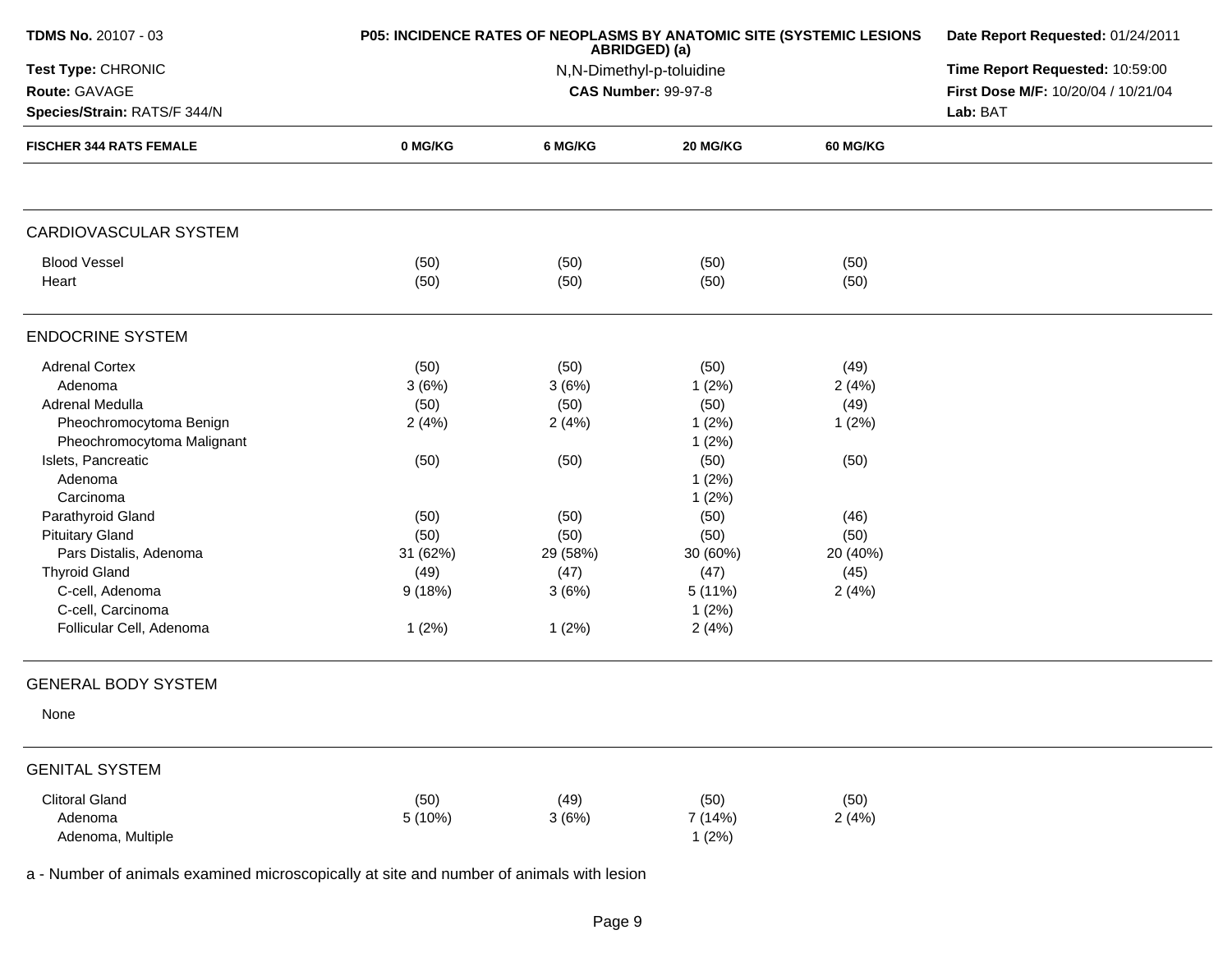| <b>TDMS No. 20107 - 03</b>                    | P05: INCIDENCE RATES OF NEOPLASMS BY ANATOMIC SITE (SYSTEMIC LESIONS | Date Report Requested: 01/24/2011                                       |          |                 |  |  |  |
|-----------------------------------------------|----------------------------------------------------------------------|-------------------------------------------------------------------------|----------|-----------------|--|--|--|
| Test Type: CHRONIC                            |                                                                      | ABRIDGED) (a)<br>N,N-Dimethyl-p-toluidine<br><b>CAS Number: 99-97-8</b> |          |                 |  |  |  |
| Route: GAVAGE<br>Species/Strain: RATS/F 344/N |                                                                      |                                                                         |          |                 |  |  |  |
| <b>FISCHER 344 RATS FEMALE</b>                | 0 MG/KG                                                              | 6 MG/KG                                                                 | 20 MG/KG | <b>60 MG/KG</b> |  |  |  |
| CARDIOVASCULAR SYSTEM                         |                                                                      |                                                                         |          |                 |  |  |  |
| <b>Blood Vessel</b>                           | (50)                                                                 | (50)                                                                    | (50)     | (50)            |  |  |  |
| Heart                                         | (50)                                                                 | (50)                                                                    | (50)     | (50)            |  |  |  |
| <b>ENDOCRINE SYSTEM</b>                       |                                                                      |                                                                         |          |                 |  |  |  |
| <b>Adrenal Cortex</b>                         | (50)                                                                 | (50)                                                                    | (50)     | (49)            |  |  |  |
| Adenoma                                       | 3(6%)                                                                | 3(6%)                                                                   | 1(2%)    | 2(4%)           |  |  |  |
| <b>Adrenal Medulla</b>                        | (50)                                                                 | (50)                                                                    | (50)     | (49)            |  |  |  |
| Pheochromocytoma Benign                       | 2(4%)                                                                | 2(4%)                                                                   | 1(2%)    | 1(2%)           |  |  |  |
| Pheochromocytoma Malignant                    |                                                                      |                                                                         | 1(2%)    |                 |  |  |  |
| Islets, Pancreatic                            | (50)                                                                 | (50)                                                                    | (50)     | (50)            |  |  |  |
| Adenoma                                       |                                                                      |                                                                         | 1(2%)    |                 |  |  |  |
| Carcinoma                                     |                                                                      |                                                                         | 1(2%)    |                 |  |  |  |
| Parathyroid Gland                             | (50)                                                                 | (50)                                                                    | (50)     | (46)            |  |  |  |
| <b>Pituitary Gland</b>                        | (50)                                                                 | (50)                                                                    | (50)     | (50)            |  |  |  |
| Pars Distalis, Adenoma                        | 31 (62%)                                                             | 29 (58%)                                                                | 30 (60%) | 20 (40%)        |  |  |  |
| <b>Thyroid Gland</b>                          | (49)                                                                 | (47)                                                                    | (47)     | (45)            |  |  |  |
| C-cell, Adenoma                               | 9(18%)                                                               | 3(6%)                                                                   | 5 (11%)  | 2(4%)           |  |  |  |
| C-cell, Carcinoma                             |                                                                      |                                                                         | 1(2%)    |                 |  |  |  |
| Follicular Cell, Adenoma                      | 1(2%)                                                                | 1(2%)                                                                   | 2(4%)    |                 |  |  |  |
| <b>GENERAL BODY SYSTEM</b>                    |                                                                      |                                                                         |          |                 |  |  |  |
| None                                          |                                                                      |                                                                         |          |                 |  |  |  |
| <b>GENITAL SYSTEM</b>                         |                                                                      |                                                                         |          |                 |  |  |  |
| <b>Clitoral Gland</b>                         | (50)                                                                 | (49)                                                                    | (50)     | (50)            |  |  |  |
| Adenoma                                       | 5 (10%)                                                              | 3(6%)                                                                   | 7 (14%)  | 2(4%)           |  |  |  |
| Adenoma, Multiple                             |                                                                      |                                                                         | 1(2%)    |                 |  |  |  |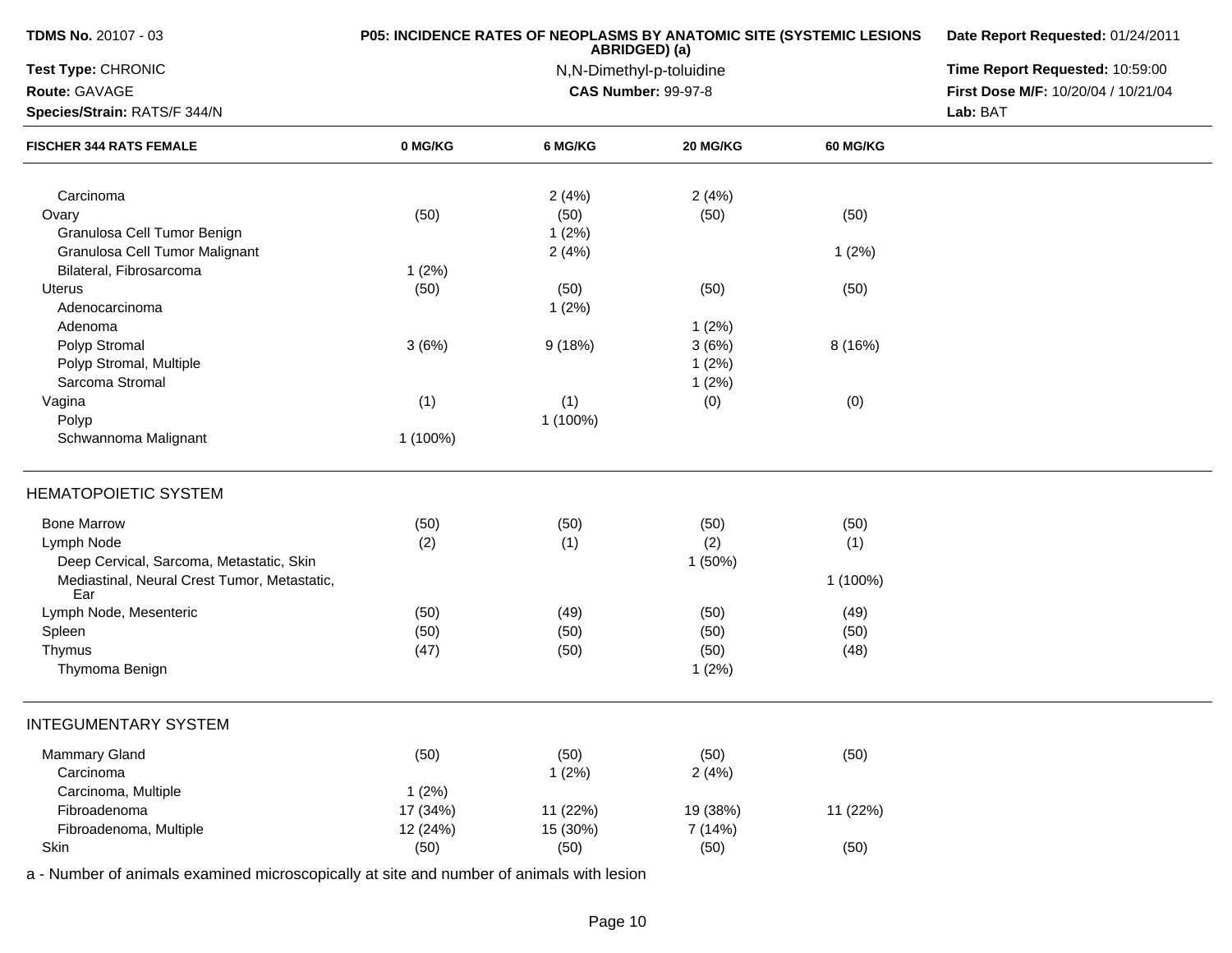| TDMS No. 20107 - 03                                 |          | P05: INCIDENCE RATES OF NEOPLASMS BY ANATOMIC SITE (SYSTEMIC LESIONS<br>ABRIDGED) (a) | Date Report Requested: 01/24/2011 |                 |                                     |
|-----------------------------------------------------|----------|---------------------------------------------------------------------------------------|-----------------------------------|-----------------|-------------------------------------|
| Test Type: CHRONIC                                  |          | N,N-Dimethyl-p-toluidine                                                              | Time Report Requested: 10:59:00   |                 |                                     |
| Route: GAVAGE                                       |          |                                                                                       | <b>CAS Number: 99-97-8</b>        |                 | First Dose M/F: 10/20/04 / 10/21/04 |
| Species/Strain: RATS/F 344/N                        |          |                                                                                       |                                   |                 | Lab: BAT                            |
| <b>FISCHER 344 RATS FEMALE</b>                      | 0 MG/KG  | 6 MG/KG                                                                               | <b>20 MG/KG</b>                   | <b>60 MG/KG</b> |                                     |
| Carcinoma                                           |          | 2(4%)                                                                                 | 2(4%)                             |                 |                                     |
| Ovary                                               | (50)     | (50)                                                                                  | (50)                              | (50)            |                                     |
| Granulosa Cell Tumor Benign                         |          | 1(2%)                                                                                 |                                   |                 |                                     |
| Granulosa Cell Tumor Malignant                      |          | 2(4%)                                                                                 |                                   | 1(2%)           |                                     |
| Bilateral, Fibrosarcoma                             | 1(2%)    |                                                                                       |                                   |                 |                                     |
| Uterus                                              | (50)     | (50)                                                                                  | (50)                              | (50)            |                                     |
| Adenocarcinoma                                      |          | 1(2%)                                                                                 |                                   |                 |                                     |
| Adenoma                                             |          |                                                                                       | 1(2%)                             |                 |                                     |
| Polyp Stromal                                       | 3(6%)    | 9(18%)                                                                                | 3(6%)                             | 8 (16%)         |                                     |
| Polyp Stromal, Multiple                             |          |                                                                                       | 1(2%)                             |                 |                                     |
| Sarcoma Stromal                                     |          |                                                                                       | 1(2%)                             |                 |                                     |
| Vagina                                              | (1)      | (1)                                                                                   | (0)                               | (0)             |                                     |
| Polyp                                               |          | 1 (100%)                                                                              |                                   |                 |                                     |
| Schwannoma Malignant                                | 1 (100%) |                                                                                       |                                   |                 |                                     |
| <b>HEMATOPOIETIC SYSTEM</b>                         |          |                                                                                       |                                   |                 |                                     |
| <b>Bone Marrow</b>                                  | (50)     | (50)                                                                                  | (50)                              | (50)            |                                     |
| Lymph Node                                          | (2)      | (1)                                                                                   | (2)                               | (1)             |                                     |
| Deep Cervical, Sarcoma, Metastatic, Skin            |          |                                                                                       | 1(50%)                            |                 |                                     |
| Mediastinal, Neural Crest Tumor, Metastatic,<br>Ear |          |                                                                                       |                                   | 1 (100%)        |                                     |
| Lymph Node, Mesenteric                              | (50)     | (49)                                                                                  | (50)                              | (49)            |                                     |
| Spleen                                              | (50)     | (50)                                                                                  | (50)                              | (50)            |                                     |
| Thymus                                              | (47)     | (50)                                                                                  | (50)                              | (48)            |                                     |
| Thymoma Benign                                      |          |                                                                                       | 1(2%)                             |                 |                                     |
| INTEGUMENTARY SYSTEM                                |          |                                                                                       |                                   |                 |                                     |
| <b>Mammary Gland</b>                                | (50)     | (50)                                                                                  | (50)                              | (50)            |                                     |
| Carcinoma                                           |          | 1(2%)                                                                                 | 2(4%)                             |                 |                                     |
| Carcinoma, Multiple                                 | 1(2%)    |                                                                                       |                                   |                 |                                     |
| Fibroadenoma                                        | 17 (34%) | 11 (22%)                                                                              | 19 (38%)                          | 11 (22%)        |                                     |
| Fibroadenoma, Multiple                              | 12 (24%) | 15 (30%)                                                                              | 7 (14%)                           |                 |                                     |
| Skin                                                | (50)     | (50)                                                                                  | (50)                              | (50)            |                                     |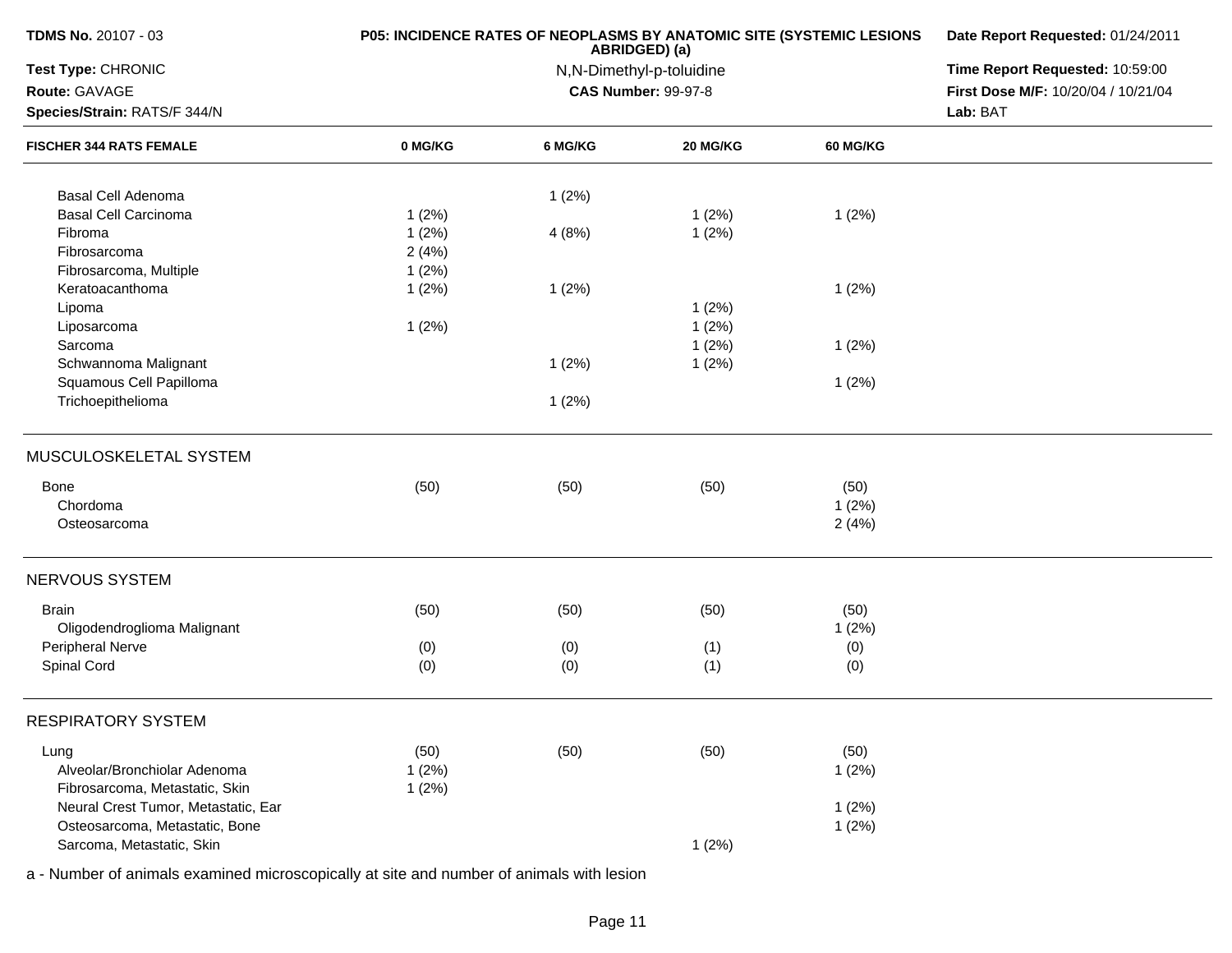| <b>TDMS No. 20107 - 03</b>          | P05: INCIDENCE RATES OF NEOPLASMS BY ANATOMIC SITE (SYSTEMIC LESIONS | Date Report Requested: 01/24/2011 |                            |          |                                     |
|-------------------------------------|----------------------------------------------------------------------|-----------------------------------|----------------------------|----------|-------------------------------------|
| Test Type: CHRONIC                  |                                                                      | Time Report Requested: 10:59:00   |                            |          |                                     |
| Route: GAVAGE                       |                                                                      |                                   | <b>CAS Number: 99-97-8</b> |          | First Dose M/F: 10/20/04 / 10/21/04 |
| Species/Strain: RATS/F 344/N        |                                                                      |                                   |                            |          | Lab: BAT                            |
| <b>FISCHER 344 RATS FEMALE</b>      | 0 MG/KG                                                              | 6 MG/KG                           | 20 MG/KG                   | 60 MG/KG |                                     |
| Basal Cell Adenoma                  |                                                                      | 1(2%)                             |                            |          |                                     |
| <b>Basal Cell Carcinoma</b>         | 1(2%)                                                                |                                   | 1(2%)                      | 1(2%)    |                                     |
| Fibroma                             | 1(2%)                                                                | 4(8%)                             | 1(2%)                      |          |                                     |
| Fibrosarcoma                        | 2(4%)                                                                |                                   |                            |          |                                     |
| Fibrosarcoma, Multiple              | 1(2%)                                                                |                                   |                            |          |                                     |
| Keratoacanthoma                     | 1(2%)                                                                | 1(2%)                             |                            | 1(2%)    |                                     |
| Lipoma                              |                                                                      |                                   | 1(2%)                      |          |                                     |
| Liposarcoma                         | 1(2%)                                                                |                                   | 1(2%)                      |          |                                     |
| Sarcoma                             |                                                                      |                                   | 1(2%)                      | 1(2%)    |                                     |
| Schwannoma Malignant                |                                                                      | 1(2%)                             | 1(2%)                      |          |                                     |
| Squamous Cell Papilloma             |                                                                      |                                   |                            | 1(2%)    |                                     |
| Trichoepithelioma                   |                                                                      | 1(2%)                             |                            |          |                                     |
| MUSCULOSKELETAL SYSTEM              |                                                                      |                                   |                            |          |                                     |
| Bone                                | (50)                                                                 | (50)                              | (50)                       | (50)     |                                     |
| Chordoma                            |                                                                      |                                   |                            | 1(2%)    |                                     |
| Osteosarcoma                        |                                                                      |                                   |                            | 2(4%)    |                                     |
| NERVOUS SYSTEM                      |                                                                      |                                   |                            |          |                                     |
|                                     |                                                                      |                                   |                            |          |                                     |
| <b>Brain</b>                        | (50)                                                                 | (50)                              | (50)                       | (50)     |                                     |
| Oligodendroglioma Malignant         |                                                                      |                                   |                            | 1(2%)    |                                     |
| Peripheral Nerve                    | (0)                                                                  | (0)                               | (1)                        | (0)      |                                     |
| Spinal Cord                         | (0)                                                                  | (0)                               | (1)                        | (0)      |                                     |
| <b>RESPIRATORY SYSTEM</b>           |                                                                      |                                   |                            |          |                                     |
| Lung                                | (50)                                                                 | (50)                              | (50)                       | (50)     |                                     |
| Alveolar/Bronchiolar Adenoma        | 1(2%)                                                                |                                   |                            | 1(2%)    |                                     |
| Fibrosarcoma, Metastatic, Skin      | 1(2%)                                                                |                                   |                            |          |                                     |
| Neural Crest Tumor, Metastatic, Ear |                                                                      |                                   |                            | 1(2%)    |                                     |
| Osteosarcoma, Metastatic, Bone      |                                                                      |                                   |                            | 1(2%)    |                                     |
| Sarcoma, Metastatic, Skin           |                                                                      |                                   | 1(2%)                      |          |                                     |
|                                     |                                                                      |                                   |                            |          |                                     |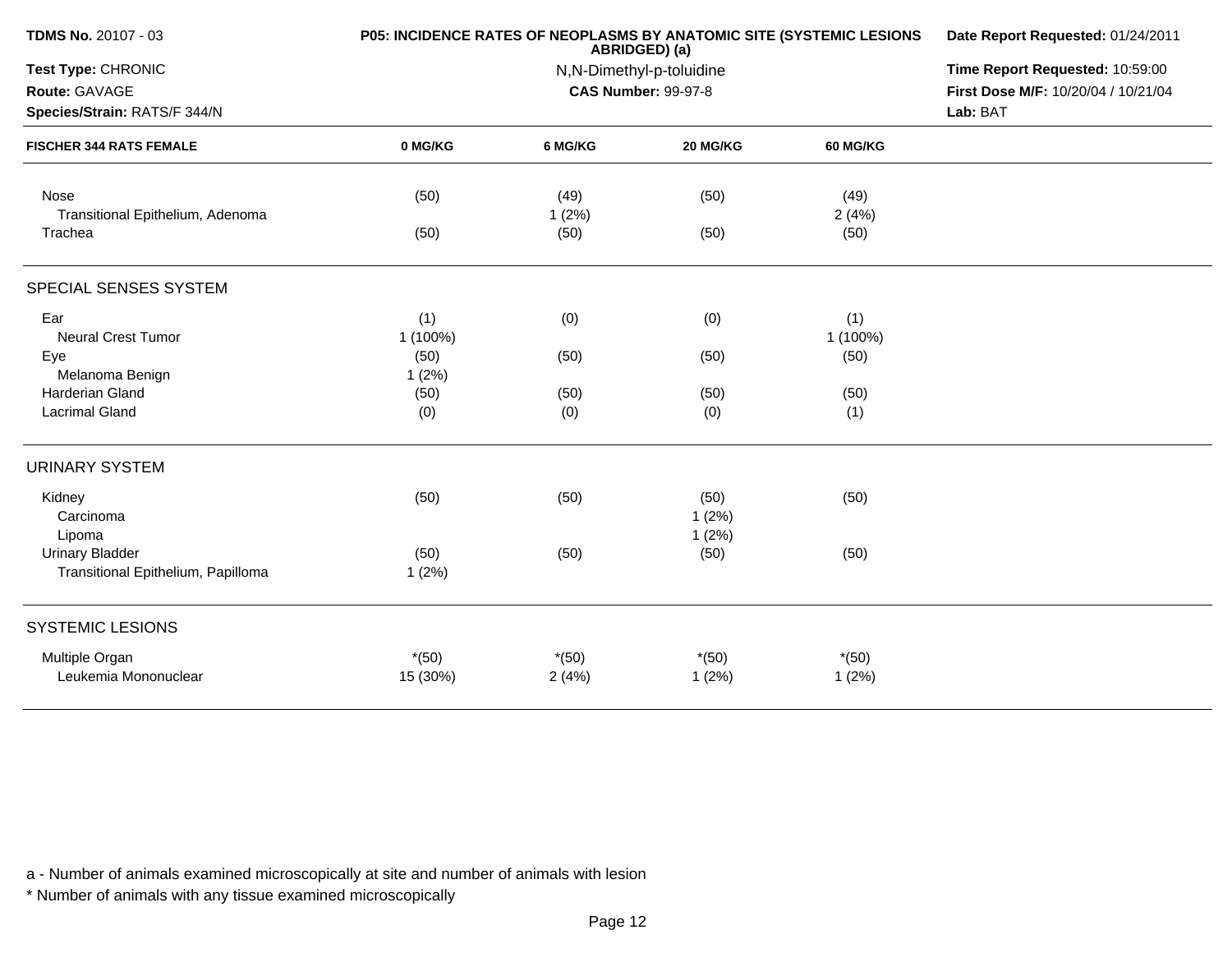| <b>TDMS No. 20107 - 03</b>                                                                            | P05: INCIDENCE RATES OF NEOPLASMS BY ANATOMIC SITE (SYSTEMIC LESIONS | Date Report Requested: 01/24/2011<br>Time Report Requested: 10:59:00<br>First Dose M/F: 10/20/04 / 10/21/04<br>Lab: BAT |          |               |  |
|-------------------------------------------------------------------------------------------------------|----------------------------------------------------------------------|-------------------------------------------------------------------------------------------------------------------------|----------|---------------|--|
| Test Type: CHRONIC<br>Route: GAVAGE<br>Species/Strain: RATS/F 344/N<br><b>FISCHER 344 RATS FEMALE</b> |                                                                      |                                                                                                                         |          |               |  |
|                                                                                                       | 0 MG/KG                                                              | 6 MG/KG                                                                                                                 | 20 MG/KG | 60 MG/KG      |  |
| Nose<br>Transitional Epithelium, Adenoma                                                              | (50)                                                                 | (49)<br>1(2%)                                                                                                           | (50)     | (49)<br>2(4%) |  |
| Trachea                                                                                               | (50)                                                                 | (50)                                                                                                                    | (50)     | (50)          |  |
| SPECIAL SENSES SYSTEM                                                                                 |                                                                      |                                                                                                                         |          |               |  |
| Ear                                                                                                   | (1)                                                                  | (0)                                                                                                                     | (0)      | (1)           |  |
| <b>Neural Crest Tumor</b>                                                                             | 1 (100%)                                                             |                                                                                                                         |          | 1 (100%)      |  |
| Eye                                                                                                   | (50)                                                                 | (50)                                                                                                                    | (50)     | (50)          |  |
| Melanoma Benign                                                                                       | 1(2%)                                                                |                                                                                                                         |          |               |  |
| <b>Harderian Gland</b>                                                                                | (50)                                                                 | (50)                                                                                                                    | (50)     | (50)          |  |
| <b>Lacrimal Gland</b>                                                                                 | (0)                                                                  | (0)                                                                                                                     | (0)      | (1)           |  |
| <b>URINARY SYSTEM</b>                                                                                 |                                                                      |                                                                                                                         |          |               |  |
| Kidney                                                                                                | (50)                                                                 | (50)                                                                                                                    | (50)     | (50)          |  |
| Carcinoma                                                                                             |                                                                      |                                                                                                                         | 1(2%)    |               |  |
| Lipoma                                                                                                |                                                                      |                                                                                                                         | 1(2%)    |               |  |
| <b>Urinary Bladder</b>                                                                                | (50)                                                                 | (50)                                                                                                                    | (50)     | (50)          |  |
| Transitional Epithelium, Papilloma                                                                    | 1(2%)                                                                |                                                                                                                         |          |               |  |
| <b>SYSTEMIC LESIONS</b>                                                                               |                                                                      |                                                                                                                         |          |               |  |
| Multiple Organ                                                                                        | $*(50)$                                                              | $*(50)$                                                                                                                 | $*(50)$  | $*(50)$       |  |
| Leukemia Mononuclear                                                                                  | 15 (30%)                                                             | 2(4%)                                                                                                                   | 1(2%)    | 1(2%)         |  |
|                                                                                                       |                                                                      |                                                                                                                         |          |               |  |

\* Number of animals with any tissue examined microscopically